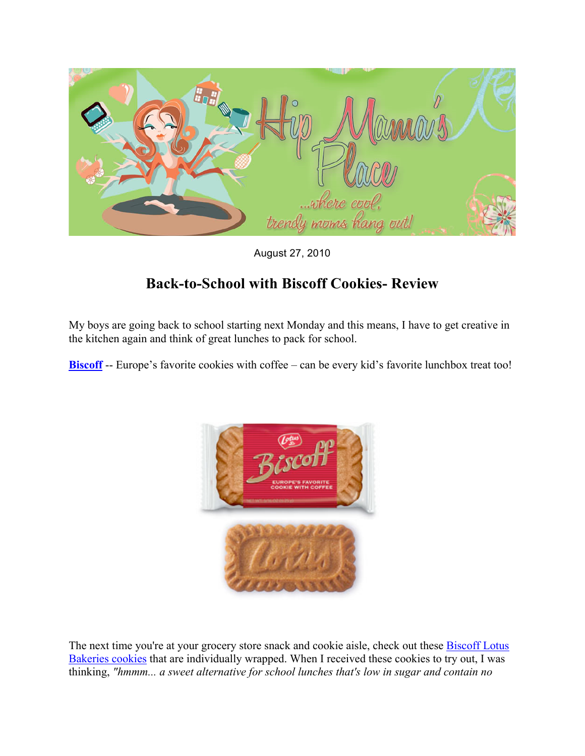

August 27, 2010

## **Back-to-School with Biscoff Cookies- Review**

My boys are going back to school starting next Monday and this means, I have to get creative in the kitchen again and think of great lunches to pack for school.

**Biscoff** -- Europe's favorite cookies with coffee – can be every kid's favorite lunchbox treat too!



The next time you're at your grocery store snack and cookie aisle, check out these **Biscoff Lotus** Bakeries cookies that are individually wrapped. When I received these cookies to try out, I was thinking, *"hmmm... a sweet alternative for school lunches that's low in sugar and contain no*